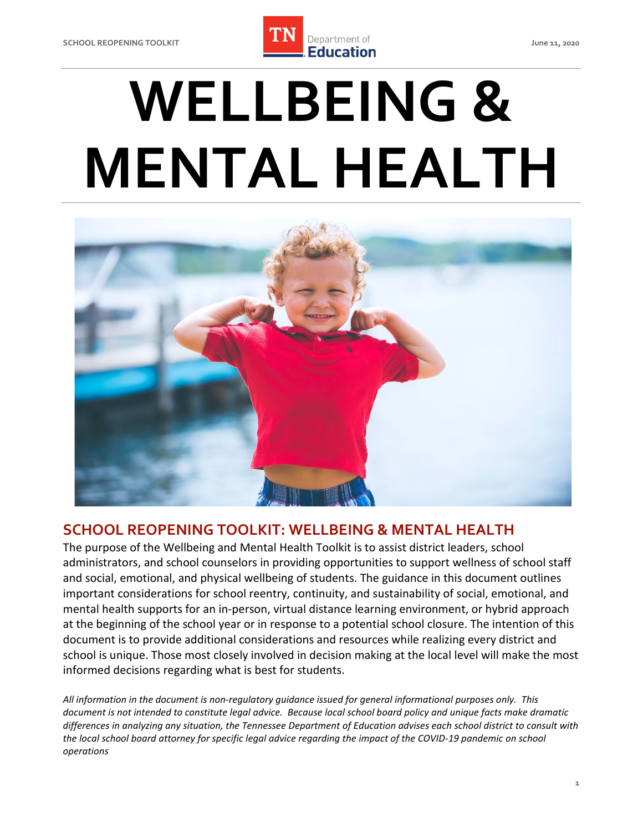

# **MENTAL HEALTH WELLBEING &**



# **SCHOOL REOPENING TOOLKIT: WELLBEING & MENTAL HEALTH**

 The purpose of the Wellbeing and Mental Health Toolkit is to assist district leaders, school administrators, and school counselors in providing opportunities to support wellness of school staff and social, emotional, and physical wellbeing of students. The guidance in this document outlines important considerations for school reentry, continuity, and sustainability of social, emotional, and mental health supports for an in-person, virtual distance learning environment, or hybrid approach at the beginning of the school year or in response to a potential school closure. The intention of this document is to provide additional considerations and resources while realizing every district and school is unique. Those most closely involved in decision making at the local level will make the most informed decisions regarding what is best for students.

 *All information in the document is non-regulatory guidance issued for general informational purposes only. This document is not intended to constitute legal advice. Because local school board policy and unique facts make dramatic differences in analyzing any situation, the Tennessee Department of Education advises each school district to consult with the local school board attorney for specific legal advice regarding the impact of the COVID-19 pandemic on school operations*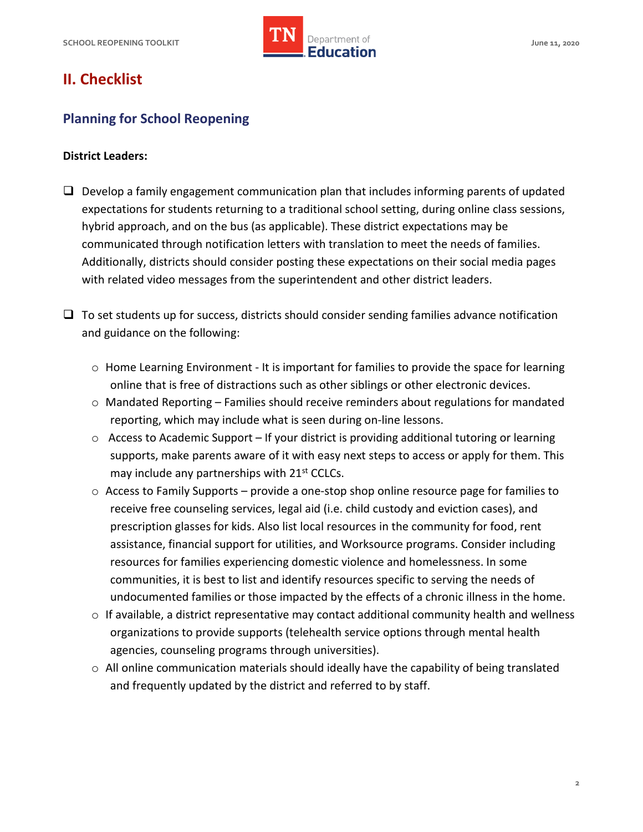

# **II. Checklist**

# **Planning for School Reopening**

#### **District Leaders:**

 hybrid approach, and on the bus (as applicable). These district expectations may be with related video messages from the superintendent and other district leaders.  $\Box$  Develop a family engagement communication plan that includes informing parents of updated expectations for students returning to a traditional school setting, during online class sessions, communicated through notification letters with translation to meet the needs of families. Additionally, districts should consider posting these expectations on their social media pages

 $\Box$  To set students up for success, districts should consider sending families advance notification and guidance on the following:

- $\circ$  Home Learning Environment It is important for families to provide the space for learning online that is free of distractions such as other siblings or other electronic devices.
- $\circ$  Mandated Reporting Families should receive reminders about regulations for mandated reporting, which may include what is seen during on-line lessons.
- supports, make parents aware of it with easy next steps to access or apply for them. This may include any partnerships with 21<sup>st</sup> CCLCs.  $\circ$  Access to Academic Support – If your district is providing additional tutoring or learning
- $\circ$  Access to Family Supports provide a one-stop shop online resource page for families to prescription glasses for kids. Also list local resources in the community for food, rent resources for families experiencing domestic violence and homelessness. In some communities, it is best to list and identify resources specific to serving the needs of undocumented families or those impacted by the effects of a chronic illness in the home. receive free counseling services, legal aid (i.e. child custody and eviction cases), and assistance, financial support for utilities, and Worksource programs. Consider including
- organizations to provide supports (telehealth service options through mental health  $\circ$  If available, a district representative may contact additional community health and wellness agencies, counseling programs through universities).
- $\circ$  All online communication materials should ideally have the capability of being translated and frequently updated by the district and referred to by staff.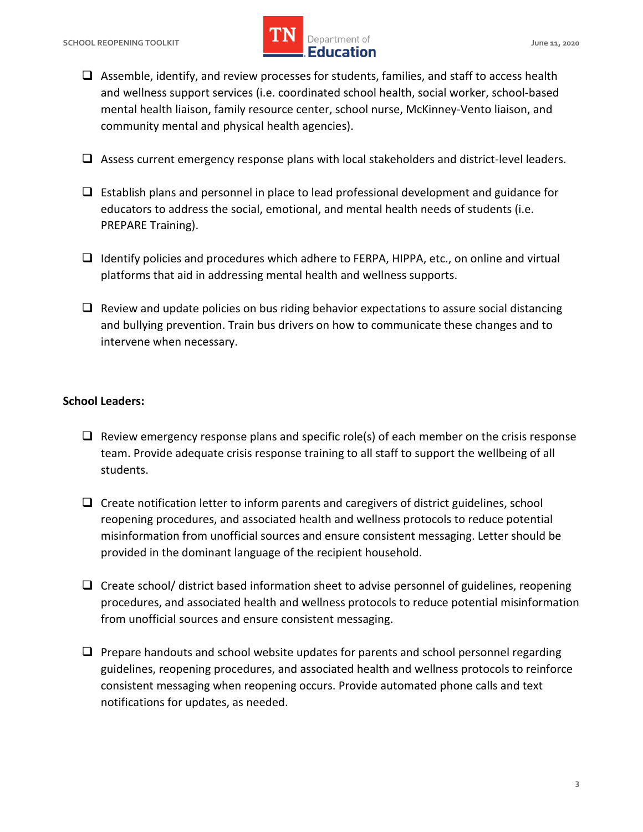# **SCHOOL REOPENING TOOLKIT SCHOOL ASSESSED ASSESSED AT A PROPERTY OF A SERVICE OF A SERVICE OF A SCHOOL AND A June 11, 2020 lightlerightlerightlerightlerightlerightlerightlerightlerightlerightlerightlerightlerightlerightlerightlerightlerightlerightlerightlerightlerightlerightlerightlerightlerightlerightlerightlerightlerightlerightlerightlerigh IMPLE Department of**

- mental health liaison, family resource center, school nurse, McKinney-Vento liaison, and  $\Box$  Assemble, identify, and review processes for students, families, and staff to access health and wellness support services (i.e. coordinated school health, social worker, school-based community mental and physical health agencies).
- $\Box$  Assess current emergency response plans with local stakeholders and district-level leaders.
- $\Box$  Establish plans and personnel in place to lead professional development and guidance for educators to address the social, emotional, and mental health needs of students (i.e. PREPARE Training).
- $\Box$  Identify policies and procedures which adhere to FERPA, HIPPA, etc., on online and virtual platforms that aid in addressing mental health and wellness supports.
- and bullying prevention. Train bus drivers on how to communicate these changes and to  $\Box$  Review and update policies on bus riding behavior expectations to assure social distancing intervene when necessary.

# **School Leaders:**

- team. Provide adequate crisis response training to all staff to support the wellbeing of all  $\Box$  Review emergency response plans and specific role(s) of each member on the crisis response students.
- reopening procedures, and associated health and wellness protocols to reduce potential  $\Box$  Create notification letter to inform parents and caregivers of district guidelines, school misinformation from unofficial sources and ensure consistent messaging. Letter should be provided in the dominant language of the recipient household.
- procedures, and associated health and wellness protocols to reduce potential misinformation from unofficial sources and ensure consistent messaging.  $\Box$  Create school/ district based information sheet to advise personnel of guidelines, reopening
- guidelines, reopening procedures, and associated health and wellness protocols to reinforce notifications for updates, as needed.  $\Box$  Prepare handouts and school website updates for parents and school personnel regarding consistent messaging when reopening occurs. Provide automated phone calls and text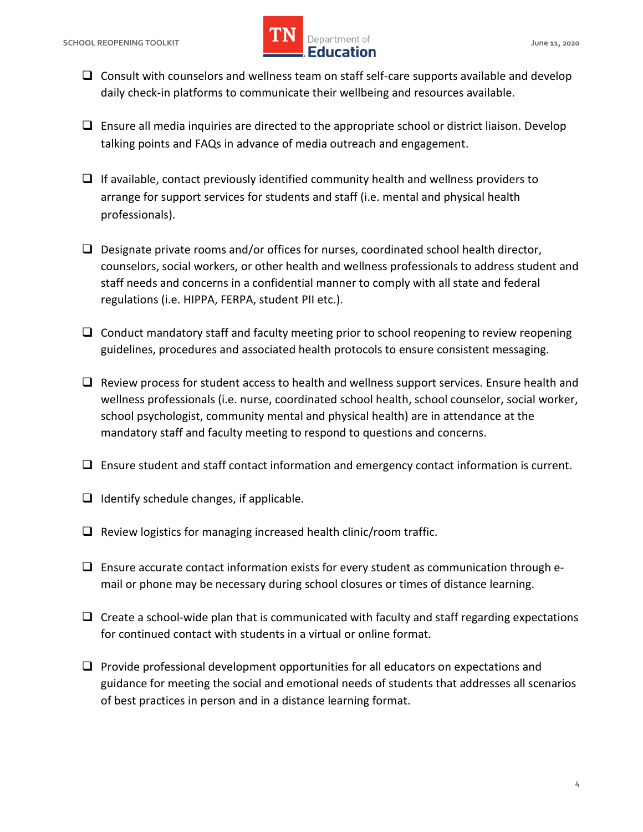

- $\Box$  Consult with counselors and wellness team on staff self-care supports available and develop daily check-in platforms to communicate their wellbeing and resources available.
- $\Box$  Ensure all media inquiries are directed to the appropriate school or district liaison. Develop talking points and FAQs in advance of media outreach and engagement.
- $\Box$  If available, contact previously identified community health and wellness providers to arrange for support services for students and staff (i.e. mental and physical health professionals).
- $\square$  Designate private rooms and/or offices for nurses, coordinated school health director, staff needs and concerns in a confidential manner to comply with all state and federal counselors, social workers, or other health and wellness professionals to address student and regulations (i.e. HIPPA, FERPA, student PII etc.).
- $\Box$  Conduct mandatory staff and faculty meeting prior to school reopening to review reopening guidelines, procedures and associated health protocols to ensure consistent messaging.
- $\Box$  Review process for student access to health and wellness support services. Ensure health and wellness professionals (i.e. nurse, coordinated school health, school counselor, social worker, school psychologist, community mental and physical health) are in attendance at the mandatory staff and faculty meeting to respond to questions and concerns.
- $\Box$  Ensure student and staff contact information and emergency contact information is current.
- $\Box$  Identify schedule changes, if applicable.
- $\Box$  Review logistics for managing increased health clinic/room traffic.
- mail or phone may be necessary during school closures or times of distance learning.  $\square$  Ensure accurate contact information exists for every student as communication through e-
- $\Box$  Create a school-wide plan that is communicated with faculty and staff regarding expectations for continued contact with students in a virtual or online format.
- $\Box$  Provide professional development opportunities for all educators on expectations and guidance for meeting the social and emotional needs of students that addresses all scenarios of best practices in person and in a distance learning format.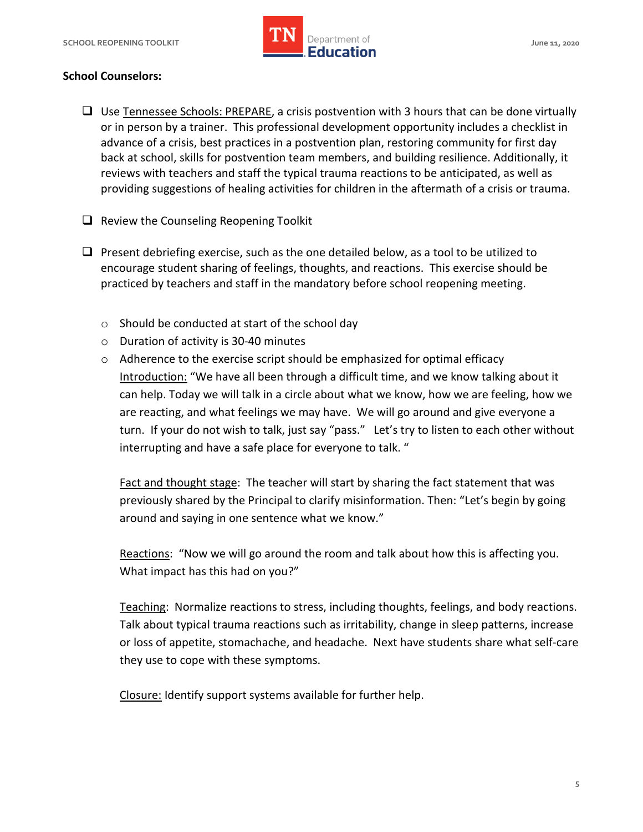

## **School Counselors:**

- or in person by a trainer. This professional development opportunity includes a checklist in advance of a crisis, best practices in a postvention plan, restoring community for first day back at school, skills for postvention team members, and building resilience. Additionally, it reviews with teachers and staff the typical trauma reactions to be anticipated, as well as  $\Box$  Use [Tennessee Schools: PREPARE,](https://www.tn.gov/content/dam/tn/education/safety/safe_sch/prepare_manual.pdf) a crisis postvention with 3 hours that can be done virtually providing suggestions of healing activities for children in the aftermath of a crisis or trauma.
- $\Box$  Review the Counseling Reopening Toolkit
- $\Box$  Present debriefing exercise, such as the one detailed below, as a tool to be utilized to encourage student sharing of feelings, thoughts, and reactions. This exercise should be practiced by teachers and staff in the mandatory before school reopening meeting.
	- $\circ$  Should be conducted at start of the school day
	- o Duration of activity is 30-40 minutes
	- $\circ$  Adherence to the exercise script should be emphasized for optimal efficacy Introduction: "We have all been through a difficult time, and we know talking about it can help. Today we will talk in a circle about what we know, how we are feeling, how we are reacting, and what feelings we may have. We will go around and give everyone a turn. If your do not wish to talk, just say "pass." Let's try to listen to each other without interrupting and have a safe place for everyone to talk. "

Fact and thought stage: The teacher will start by sharing the fact statement that was previously shared by the Principal to clarify misinformation. Then: "Let's begin by going around and saying in one sentence what we know."

Reactions: "Now we will go around the room and talk about how this is affecting you. What impact has this had on you?"

Teaching: Normalize reactions to stress, including thoughts, feelings, and body reactions. Talk about typical trauma reactions such as irritability, change in sleep patterns, increase or loss of appetite, stomachache, and headache. Next have students share what self-care they use to cope with these symptoms.

Closure: Identify support systems available for further help.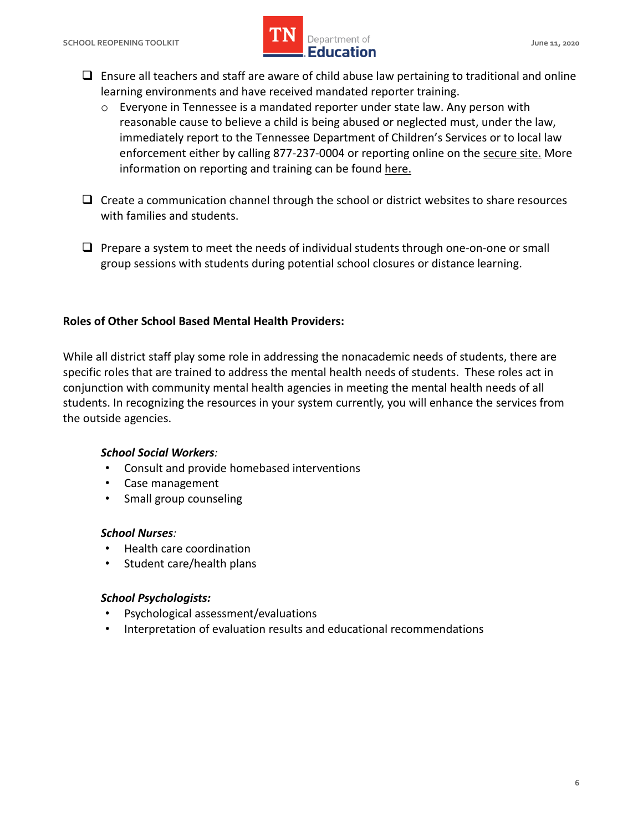

- $\Box$  Ensure all teachers and staff are aware of child abuse law pertaining to traditional and online learning environments and have received mandated reporter training.
	- $\circ$  Everyone in Tennessee is a mandated reporter under state law. Any person with reasonable cause to believe a child is being abused or neglected must, under the law, immediately report to the Tennessee Department of Children's Services or to local law enforcement either by calling 877-237-0004 or reporting online on the [secure site.](https://apps.tn.gov/carat/) More information on reporting and training can be found here.
- $\Box$  Create a communication channel through the school or district websites to share resources with families and students.
- $\Box$  Prepare a system to meet the needs of individual students through one-on-one or small group sessions with students during potential school closures or distance learning.

#### **Roles of Other School Based Mental Health Providers:**

 While all district staff play some role in addressing the nonacademic needs of students, there are specific roles that are trained to address the mental health needs of students. These roles act in conjunction with community mental health agencies in meeting the mental health needs of all students. In recognizing the resources in your system currently, you will enhance the services from the outside agencies.

#### *School Social Workers:*

- Consult and provide homebased interventions
- Case management
- Small group counseling

#### *School Nurses:*

- Health care coordination
- Student care/health plans

#### *School Psychologists:*

- Psychological assessment/evaluations
- Interpretation of evaluation results and educational recommendations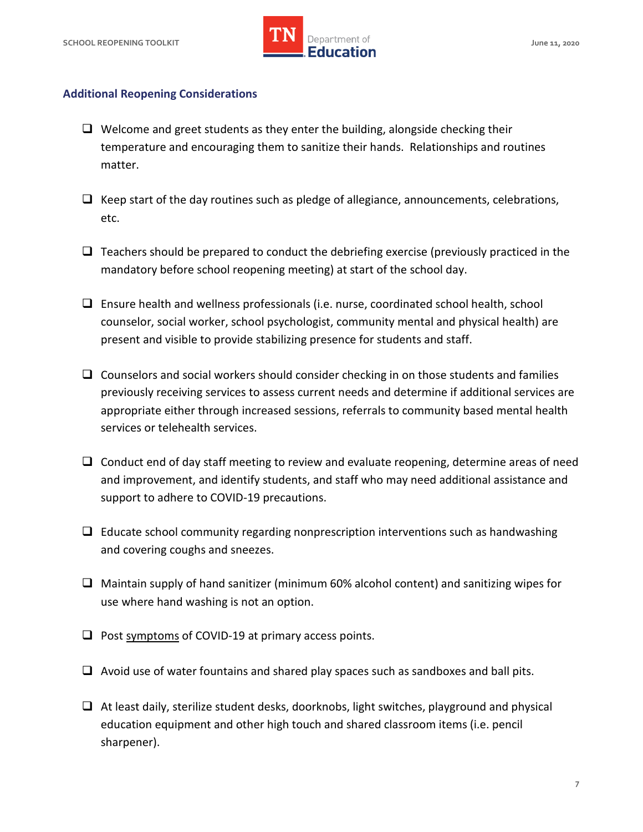

#### **Additional Reopening Considerations**

- $\Box$  Welcome and greet students as they enter the building, alongside checking their temperature and encouraging them to sanitize their hands. Relationships and routines matter.
- $\Box$  Keep start of the day routines such as pledge of allegiance, announcements, celebrations, etc.
- $\Box$  Teachers should be prepared to conduct the debriefing exercise (previously practiced in the mandatory before school reopening meeting) at start of the school day.
- $\Box$  Ensure health and wellness professionals (i.e. nurse, coordinated school health, school counselor, social worker, school psychologist, community mental and physical health) are present and visible to provide stabilizing presence for students and staff.
- appropriate either through increased sessions, referrals to community based mental health  $\Box$  Counselors and social workers should consider checking in on those students and families previously receiving services to assess current needs and determine if additional services are services or telehealth services.
- $\Box$  Conduct end of day staff meeting to review and evaluate reopening, determine areas of need and improvement, and identify students, and staff who may need additional assistance and support to adhere to COVID-19 precautions.
- $\Box$  Educate school community regarding nonprescription interventions such as handwashing and covering coughs and sneezes.
- $\Box$  Maintain supply of hand sanitizer (minimum 60% alcohol content) and sanitizing wipes for use where hand washing is not an option.
- $\Box$  Post [symptoms](https://www.cdc.gov/coronavirus/2019-ncov/downloads/COVID19-symptoms.pdf) of COVID-19 at primary access points.
- $\Box$  Avoid use of water fountains and shared play spaces such as sandboxes and ball pits.
- $\Box$  At least daily, sterilize student desks, doorknobs, light switches, playground and physical education equipment and other high touch and shared classroom items (i.e. pencil sharpener).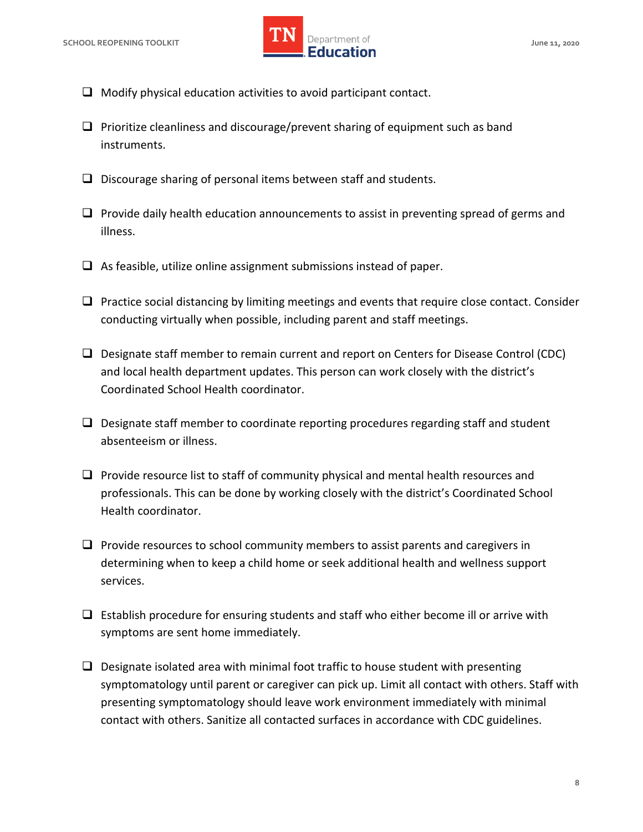

- $\Box$  Modify physical education activities to avoid participant contact.
- $\Box$  Prioritize cleanliness and discourage/prevent sharing of equipment such as band instruments.
- $\square$  Discourage sharing of personal items between staff and students.
- $\Box$  Provide daily health education announcements to assist in preventing spread of germs and illness.
- $\Box$  As feasible, utilize online assignment submissions instead of paper.
- $\Box$  Practice social distancing by limiting meetings and events that require close contact. Consider conducting virtually when possible, including parent and staff meetings.
- $\Box$  Designate staff member to remain current and report on Centers for Disease Control (CDC) and local health department updates. This person can work closely with the district's Coordinated School Health coordinator.
- $\Box$  Designate staff member to coordinate reporting procedures regarding staff and student absenteeism or illness.
- $\Box$  Provide resource list to staff of community physical and mental health resources and professionals. This can be done by working closely with the district's Coordinated School Health coordinator.
- $\Box$  Provide resources to school community members to assist parents and caregivers in determining when to keep a child home or seek additional health and wellness support services.
- $\Box$  Establish procedure for ensuring students and staff who either become ill or arrive with symptoms are sent home immediately.
- $\square$  Designate isolated area with minimal foot traffic to house student with presenting symptomatology until parent or caregiver can pick up. Limit all contact with others. Staff with presenting symptomatology should leave work environment immediately with minimal contact with others. Sanitize all contacted surfaces in accordance with CDC guidelines.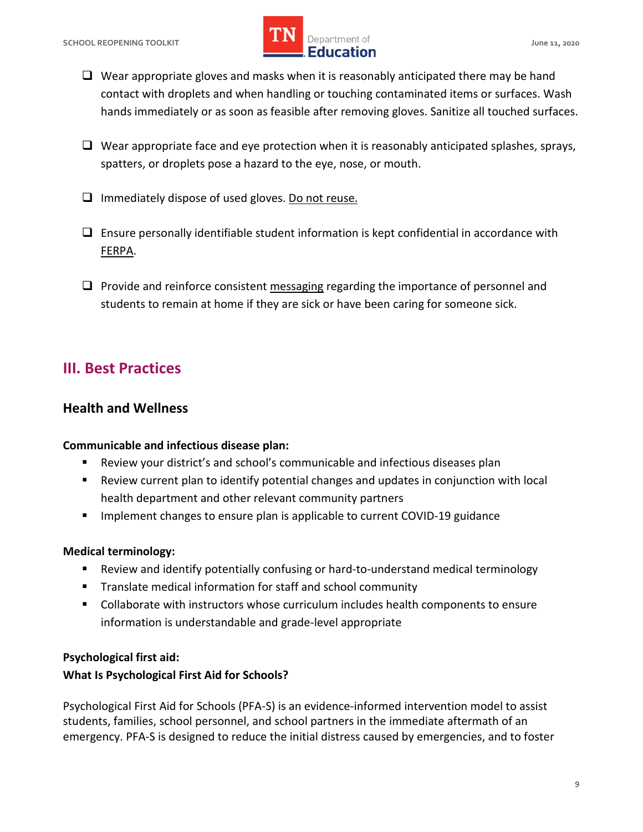# **SCHOOL REOPENING TOOLKIT SCHOOL ASSESSED ASSESSED AT A PROPERTY OF A SERVICE OF A SERVICE OF A SCHOOL AND A June 11, 2020 lightlerightlerightlerightlerightlerightlerightlerightlerightlerightlerightlerightlerightlerightlerightlerightlerightlerightlerightlerightlerightlerightlerightlerightlerightlerightlerightlerightlerightlerightlerightlerigh IMPLE Department of**

- $\Box$  Wear appropriate gloves and masks when it is reasonably anticipated there may be hand contact with droplets and when handling or touching contaminated items or surfaces. Wash hands immediately or as soon as feasible after removing gloves. Sanitize all touched surfaces.
- spatters, or droplets pose a hazard to the eye, nose, or mouth.  $\Box$  Wear appropriate face and eye protection when it is reasonably anticipated splashes, sprays,
- $\Box$  Immediately dispose of used gloves. Do not reuse.
- $\Box$  Ensure personally identifiable student information is kept confidential in accordance with [FERPA.](https://www2.ed.gov/policy/gen/guid/fpco/ferpa/index.html)
- $\Box$  Provide and reinforce consistent [messaging](https://www.cdc.gov/coronavirus/2019-ncov/downloads/sick-with-2019-nCoV-fact-sheet.pdf) regarding the importance of personnel and students to remain at home if they are sick or have been caring for someone sick.

# **III. Best Practices**

# **Health and Wellness**

# **Communicable and infectious disease plan:**

- Review your district's and school's communicable and infectious diseases plan
- Review current plan to identify potential changes and updates in conjunction with local health department and other relevant community partners
- **IMPLEMENT COVID-19 guidance is applicable to current COVID-19 guidance**

# **Medical terminology:**

- Review and identify potentially confusing or hard-to-understand medical terminology
- Translate medical information for staff and school community
- Collaborate with instructors whose curriculum includes health components to ensure information is understandable and grade-level appropriate

# **Psychological first aid:**

# **What Is Psychological First Aid for Schools?**

 Psychological First Aid for Schools (PFA-S) is an evidence-informed intervention model to assist students, families, school personnel, and school partners in the immediate aftermath of an emergency. PFA-S is designed to reduce the initial distress caused by emergencies, and to foster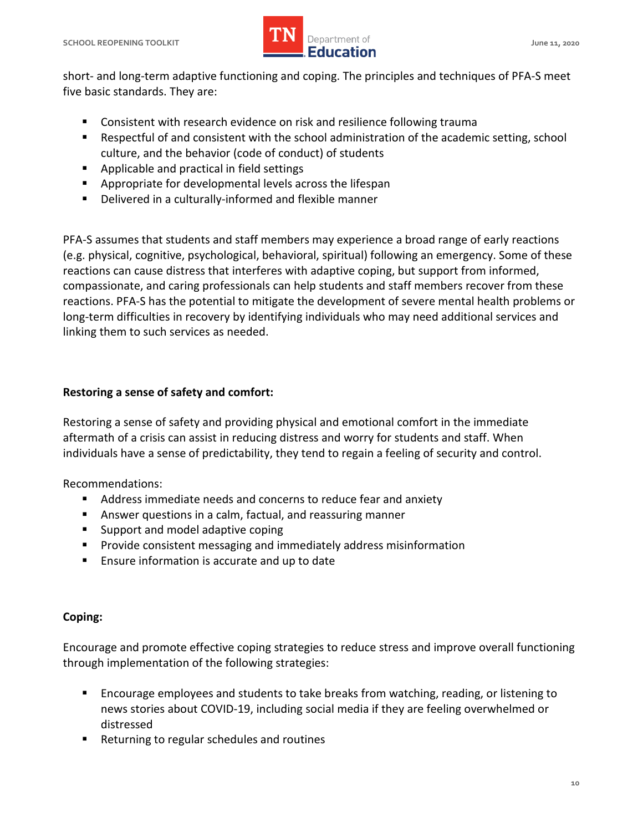

 short- and long-term adaptive functioning and coping. The principles and techniques of PFA-S meet five basic standards. They are:

- Consistent with research evidence on risk and resilience following trauma
- Respectful of and consistent with the school administration of the academic setting, school culture, and the behavior (code of conduct) of students
- **Applicable and practical in field settings**
- **Appropriate for developmental levels across the lifespan**
- Delivered in a culturally-informed and flexible manner

 PFA-S assumes that students and staff members may experience a broad range of early reactions (e.g. physical, cognitive, psychological, behavioral, spiritual) following an emergency. Some of these reactions can cause distress that interferes with adaptive coping, but support from informed, compassionate, and caring professionals can help students and staff members recover from these reactions. PFA-S has the potential to mitigate the development of severe mental health problems or long-term difficulties in recovery by identifying individuals who may need additional services and linking them to such services as needed.

### **Restoring a sense of safety and comfort:**

 Restoring a sense of safety and providing physical and emotional comfort in the immediate aftermath of a crisis can assist in reducing distress and worry for students and staff. When individuals have a sense of predictability, they tend to regain a feeling of security and control.

Recommendations:

- Address immediate needs and concerns to reduce fear and anxiety
- Answer questions in a calm, factual, and reassuring manner
- **Support and model adaptive coping**
- **Provide consistent messaging and immediately address misinformation**
- **Ensure information is accurate and up to date**

#### **Coping:**

 Encourage and promote effective coping strategies to reduce stress and improve overall functioning through implementation of the following strategies:

- **Encourage employees and students to take breaks from watching, reading, or listening to** news stories about COVID-19, including social media if they are feeling overwhelmed or distressed
- Returning to regular schedules and routines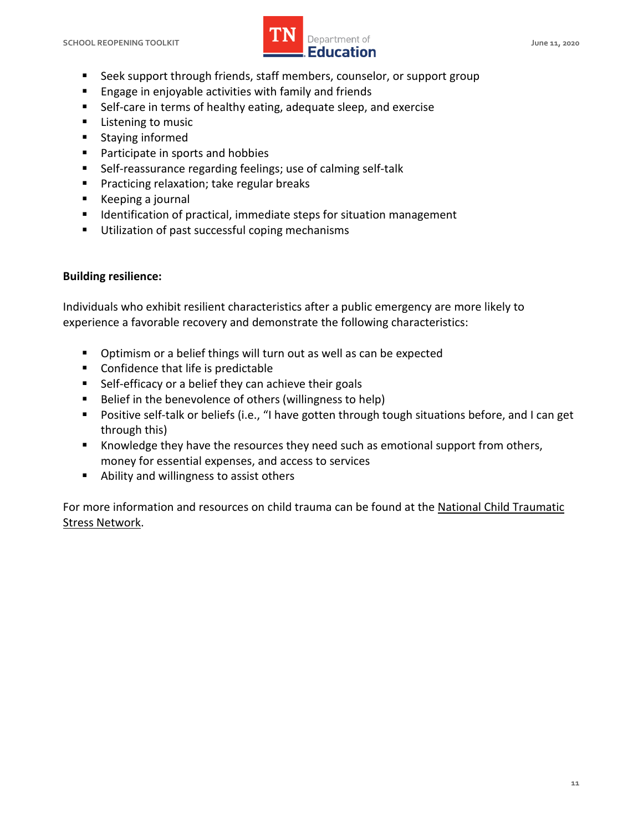

- Seek support through friends, staff members, counselor, or support group
- **Engage in enjoyable activities with family and friends**
- Self-care in terms of healthy eating, adequate sleep, and exercise
- **Listening to music**
- **Staying informed**
- Participate in sports and hobbies
- Self-reassurance regarding feelings; use of calming self-talk
- **Practicing relaxation; take regular breaks**
- Keeping a journal
- **IDED IDENT** Identification of practical, immediate steps for situation management
- Utilization of past successful coping mechanisms

#### **Building resilience:**

 Individuals who exhibit resilient characteristics after a public emergency are more likely to experience a favorable recovery and demonstrate the following characteristics:

- Optimism or a belief things will turn out as well as can be expected
- Confidence that life is predictable
- Self-efficacy or a belief they can achieve their goals
- Belief in the benevolence of others (willingness to help)
- **Positive self-talk or beliefs (i.e., "I have gotten through tough situations before, and I can get** through this)
- **K** Knowledge they have the resources they need such as emotional support from others, money for essential expenses, and access to services
- Ability and willingness to assist others

For more information and resources on child trauma can be found at the National Child Traumatic [Stress Network.](https://www.nctsn.org/)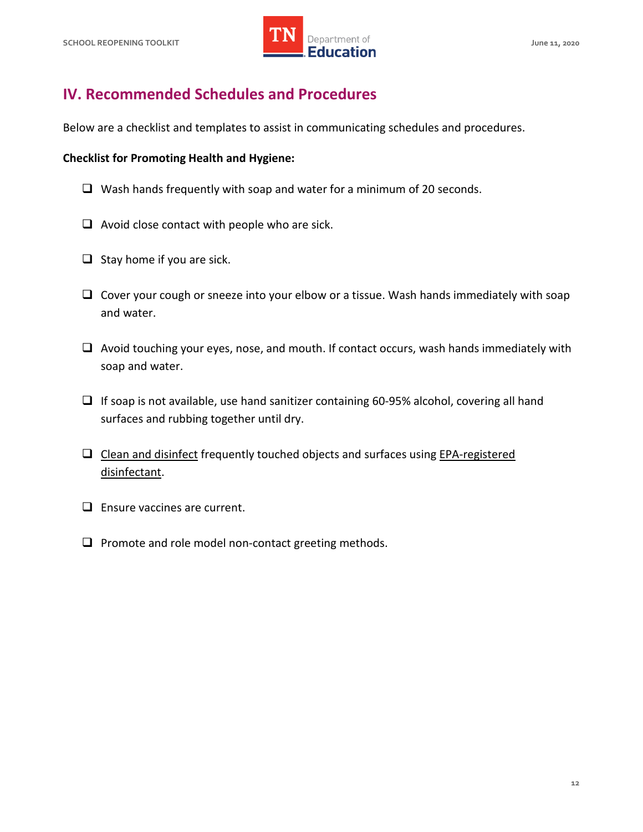

# **IV. Recommended Schedules and Procedures**

Below are a checklist and templates to assist in communicating schedules and procedures.

#### **Checklist for Promoting Health and Hygiene:**

- $\Box$  Wash hands frequently with soap and water for a minimum of 20 seconds.
- $\Box$  Avoid close contact with people who are sick.
- $\Box$  Stay home if you are sick.
- $\Box$  Cover your cough or sneeze into your elbow or a tissue. Wash hands immediately with soap and water.
- $\Box$  Avoid touching your eyes, nose, and mouth. If contact occurs, wash hands immediately with soap and water.
- $\Box$  If soap is not available, use hand sanitizer containing 60-95% alcohol, covering all hand surfaces and rubbing together until dry.
- $\square$  [Clean and disinfect](https://www.cdc.gov/coronavirus/2019-ncov/community/disinfecting-building-facility.html) frequently touched objects and surfaces using EPA-registered [disinfectant.](https://www.epa.gov/pesticide-registration/list-n-disinfectants-use-against-sars-cov-2)
- $\Box$  Ensure vaccines are current.
- $\Box$  Promote and role model non-contact greeting methods.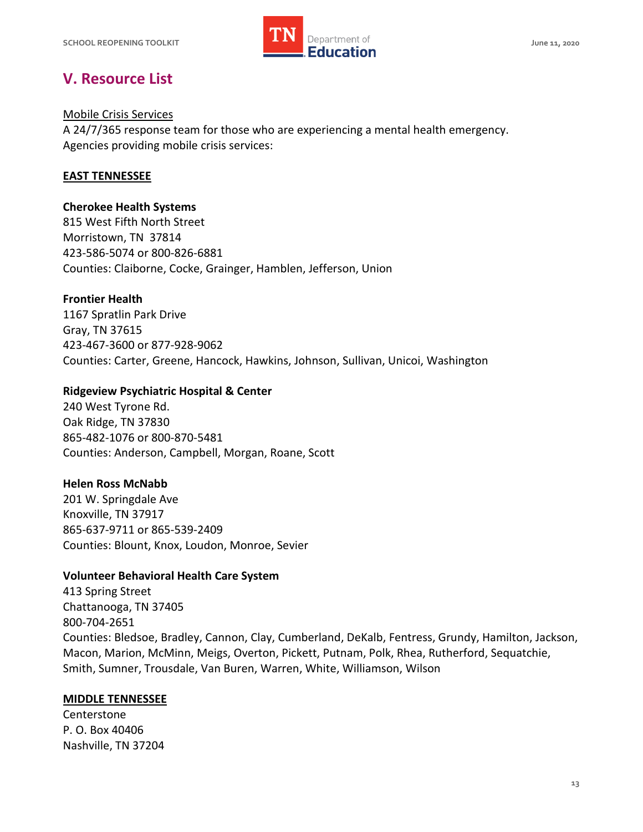

# **V. Resource List**

#### [Mobile Crisis Services](https://www.tn.gov/behavioral-health/need-help/crisis-services/mobile-crisis-services.html)

 A 24/7/365 response team for those who are experiencing a mental health emergency. Agencies providing mobile crisis services:

#### **EAST TENNESSEE**

#### **Cherokee Health Systems**

 815 West Fifth North Street Morristown, TN 37814 423-586-5074 or 800-826-6881 Counties: Claiborne, Cocke, Grainger, Hamblen, Jefferson, Union

#### **Frontier Health**

 1167 Spratlin Park Drive Gray, TN 37615 423-467-3600 or 877-928-9062 Counties: Carter, Greene, Hancock, Hawkins, Johnson, Sullivan, Unicoi, Washington

#### **Ridgeview Psychiatric Hospital & Center**

 240 West Tyrone Rd. Oak Ridge, TN 37830 865-482-1076 or 800-870-5481 Counties: Anderson, Campbell, Morgan, Roane, Scott

#### **Helen Ross McNabb**

 201 W. Springdale Ave Knoxville, TN 37917 865-637-9711 or 865-539-2409 Counties: Blount, Knox, Loudon, Monroe, Sevier

#### **Volunteer Behavioral Health Care System**

 413 Spring Street Chattanooga, TN 37405 Counties: Bledsoe, Bradley, Cannon, Clay, Cumberland, DeKalb, Fentress, Grundy, Hamilton, Jackson, Macon, Marion, McMinn, Meigs, Overton, Pickett, Putnam, Polk, Rhea, Rutherford, Sequatchie, Smith, Sumner, Trousdale, Van Buren, Warren, White, Williamson, Wilson 800-704-2651

#### **MIDDLE TENNESSEE**

 Centerstone P. O. Box 40406 Nashville, TN 37204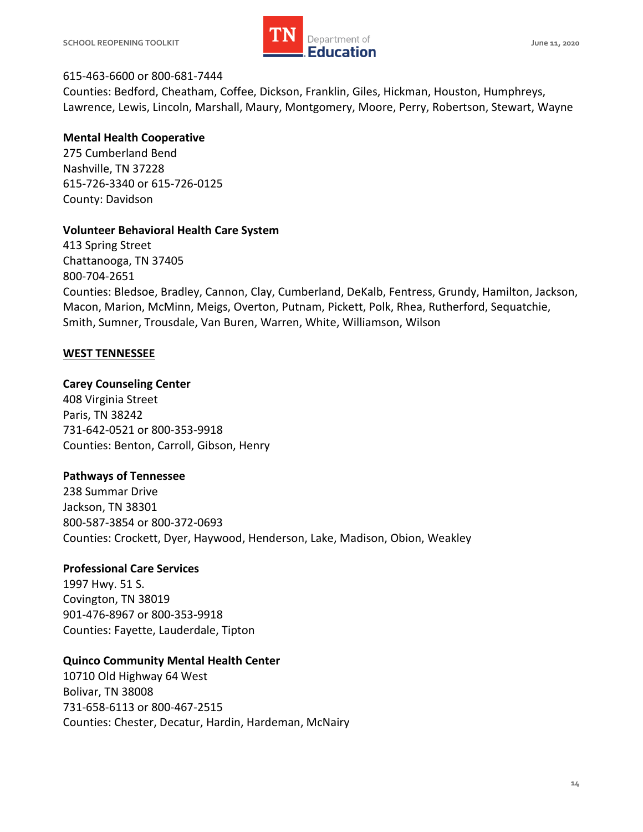

#### 615-463-6600 or 800-681-7444

 Counties: Bedford, Cheatham, Coffee, Dickson, Franklin, Giles, Hickman, Houston, Humphreys, Lawrence, Lewis, Lincoln, Marshall, Maury, Montgomery, Moore, Perry, Robertson, Stewart, Wayne

#### **Mental Health Cooperative**

 275 Cumberland Bend Nashville, TN 37228 615-726-3340 or 615-726-0125 County: Davidson

#### **Volunteer Behavioral Health Care System**

 413 Spring Street Chattanooga, TN 37405 Counties: Bledsoe, Bradley, Cannon, Clay, Cumberland, DeKalb, Fentress, Grundy, Hamilton, Jackson, Macon, Marion, McMinn, Meigs, Overton, Putnam, Pickett, Polk, Rhea, Rutherford, Sequatchie, Smith, Sumner, Trousdale, Van Buren, Warren, White, Williamson, Wilson 800-704-2651

#### **WEST TENNESSEE**

#### **Carey Counseling Center**

 408 Virginia Street Paris, TN 38242 731-642-0521 or 800-353-9918 Counties: Benton, Carroll, Gibson, Henry

#### **Pathways of Tennessee**

 238 Summar Drive Jackson, TN 38301 800-587-3854 or 800-372-0693 Counties: Crockett, Dyer, Haywood, Henderson, Lake, Madison, Obion, Weakley

#### **Professional Care Services**

 1997 Hwy. 51 S. Covington, TN 38019 901-476-8967 or 800-353-9918 Counties: Fayette, Lauderdale, Tipton

#### **Quinco Community Mental Health Center**

 10710 Old Highway 64 West Bolivar, TN 38008 731-658-6113 or 800-467-2515 Counties: Chester, Decatur, Hardin, Hardeman, McNairy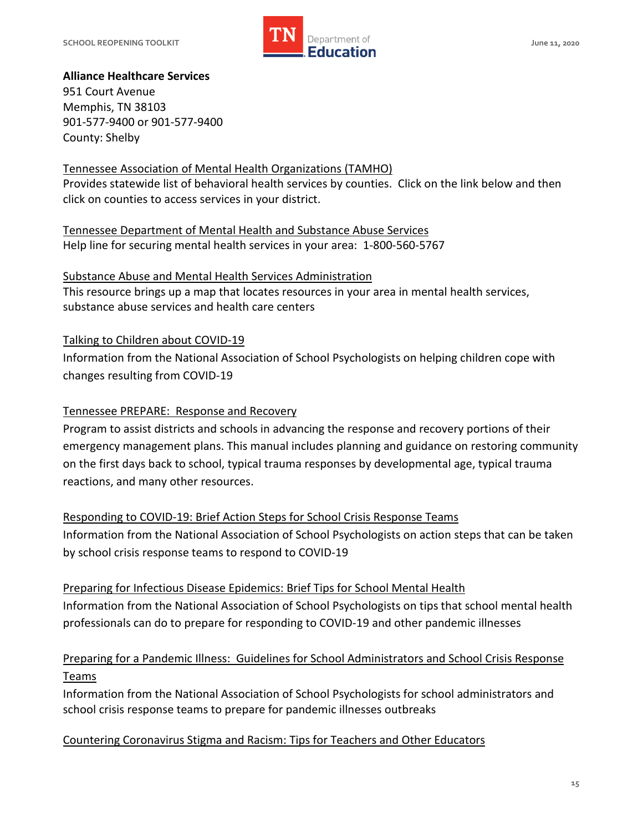

## **Alliance Healthcare Services**

 951 Court Avenue Memphis, TN 38103 901-577-9400 or 901-577-9400 County: Shelby

## [Tennessee Association of Mental Health Organizations \(TAMHO\)](https://www.tamho.org/#services)

 Provides statewide list of behavioral health services by counties. Click on the link below and then click on counties to access services in your district.

 [Tennessee Department of Mental Health and Substance Abuse Services](https://www.tn.gov/behavioral-health/children-youth-young-adults-families.html)  Help line for securing mental health services in your area: 1-800-560-5767

 [Substance Abuse and Mental Health Services Administration](https://findtreatment.samhsa.gov/locator?sAddr=37205&submit=Go--)  This resource brings up a map that locates resources in your area in mental health services, substance abuse services and health care centers

[Talking to Children about COVID-19](https://www.nasponline.org/resources-and-publications/resources-and-podcasts/school-climate-safety-and-crisis/health-crisis-resources/talking-to-children-about-covid-19-(coronavirus)-a-parent-resource) 

 Information from the National Association of School Psychologists on helping children cope with changes resulting from COVID-19

#### [Tennessee PREPARE: Response and Recovery](https://www.tn.gov/content/dam/tn/education/safety/safe_sch/prepare_manual.pdf)

 Program to assist districts and schools in advancing the response and recovery portions of their emergency management plans. This manual includes planning and guidance on restoring community on the first days back to school, typical trauma responses by developmental age, typical trauma reactions, and many other resources.

# [Responding to COVID-19: Brief Action Steps for School Crisis Response Teams](https://www.nasponline.org/resources-and-publications/resources-and-podcasts/school-climate-safety-and-crisis/health-crisis-resources/responding-to-covid-19brief-action-steps-for-school-crisis-response-teams)

 Information from the National Association of School Psychologists on action steps that can be taken by school crisis response teams to respond to COVID-19

 [Preparing for Infectious Disease Epidemics: Brief Tips for School Mental Health](https://www.nasponline.org/resources-and-publications/resources-and-podcasts/school-climate-safety-and-crisis/health-crisis-resources/preparing-for-infectious-disease-epidemics-brief-tips-for-school-mental-health-professionals)  Information from the National Association of School Psychologists on tips that school mental health professionals can do to prepare for responding to COVID-19 and other pandemic illnesses

# [Preparing for a Pandemic Illness: Guidelines for School Administrators and School Crisis Response](https://www.nasponline.org/resources-and-publications/resources-and-podcasts/school-climate-safety-and-crisis/health-crisis-resources/preparing-for-a-pandemic-illness-guidelines-for-school-administrators-and-school-crisis-response-teams)  [Teams](https://www.nasponline.org/resources-and-publications/resources-and-podcasts/school-climate-safety-and-crisis/health-crisis-resources/preparing-for-a-pandemic-illness-guidelines-for-school-administrators-and-school-crisis-response-teams)

 Information from the National Association of School Psychologists for school administrators and school crisis response teams to prepare for pandemic illnesses outbreaks

#### [Countering Coronavirus Stigma and Racism: Tips for Teachers and Other Educators](https://www.nasponline.org/resources-and-publications/resources-and-podcasts/school-climate-safety-and-crisis/health-crisis-resources/countering-coronavirus-stigma-and-racism-tips-for-teachers-and-other-educators)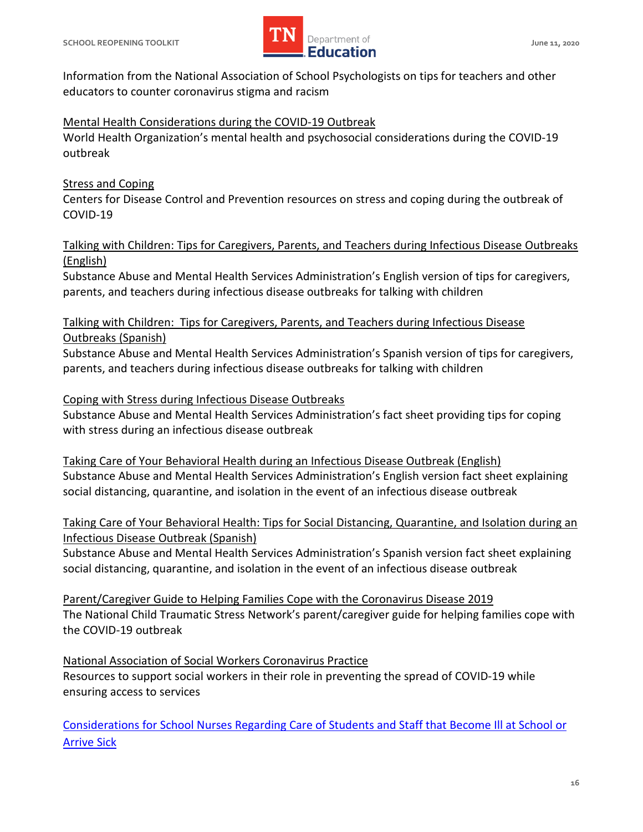

 Information from the National Association of School Psychologists on tips for teachers and other educators to counter coronavirus stigma and racism

[Mental Health Considerations during the COVID-19 Outbreak](https://www.who.int/docs/default-source/coronaviruse/mental-health-considerations.pdf) 

 World Health Organization's mental health and psychosocial considerations during the COVID-19 outbreak

# **Stress and Coping**

 Centers for Disease Control and Prevention resources on stress and coping during the outbreak of COVID-19

# [Talking with Children: Tips for Caregivers, Parents, and Teachers during Infectious Disease Outbreaks](https://store.samhsa.gov/product/Talking-With-Children-Tips-for-Caregivers-Parents-and-Teachers-During-Infectious-Disease-Outbreaks/PEP20-01-01-006)  [\(English\)](https://store.samhsa.gov/product/Talking-With-Children-Tips-for-Caregivers-Parents-and-Teachers-During-Infectious-Disease-Outbreaks/PEP20-01-01-006)

 Substance Abuse and Mental Health Services Administration's English version of tips for caregivers, parents, and teachers during infectious disease outbreaks for talking with children

 [Talking with Children: Tips for Caregivers, Parents, and Teachers during Infectious Disease](https://store.samhsa.gov/product/Talking-With-Children-Tips-for-Caregivers-Parents-and-Teachers-During-Infectious-Disease-Outbreaks-Spanish-/SMA14-4886SPANISH)  [Outbreaks \(Spanish\)](https://store.samhsa.gov/product/Talking-With-Children-Tips-for-Caregivers-Parents-and-Teachers-During-Infectious-Disease-Outbreaks-Spanish-/SMA14-4886SPANISH) 

 Substance Abuse and Mental Health Services Administration's Spanish version of tips for caregivers, parents, and teachers during infectious disease outbreaks for talking with children

# [Coping with Stress during Infectious Disease Outbreaks](https://store.samhsa.gov/product/Coping-with-Stress-During-Infectious-Disease-Outbreaks/sma14-4885)

 Substance Abuse and Mental Health Services Administration's fact sheet providing tips for coping with stress during an infectious disease outbreak

 [Taking Care of Your Behavioral Health during an Infectious Disease Outbreak \(English\)](https://store.samhsa.gov/product/Taking-Care-of-Your-Behavioral-Health-During-an-Infectious-Disease-Outbreak/sma14-4894)  Substance Abuse and Mental Health Services Administration's English version fact sheet explaining social distancing, quarantine, and isolation in the event of an infectious disease outbreak

# [Taking Care of Your Behavioral Health: Tips for Social Distancing, Quarantine, and Isolation during an](https://store.samhsa.gov/product/Taking-Care-of-Your-Behavioral-Health-Tips-for-Social-Distancing-Quarantine-and-Isolation-During-an-Infectious-Disease-Outbreak-Spanish-Version-/SMA14-4894SPANISH)  [Infectious Disease Outbreak \(Spanish\)](https://store.samhsa.gov/product/Taking-Care-of-Your-Behavioral-Health-Tips-for-Social-Distancing-Quarantine-and-Isolation-During-an-Infectious-Disease-Outbreak-Spanish-Version-/SMA14-4894SPANISH)

 Substance Abuse and Mental Health Services Administration's Spanish version fact sheet explaining social distancing, quarantine, and isolation in the event of an infectious disease outbreak

 [Parent/Caregiver Guide to Helping Families Cope with the Coronavirus Disease 2019](https://www.nctsn.org/resources/parent-caregiver-guide-to-helping-families-cope-with-the-coronavirus-disease-2019)  The National Child Traumatic Stress Network's parent/caregiver guide for helping families cope with the COVID-19 outbreak

 [National Association of Social Workers Coronavirus Practice](https://www.socialworkers.org/Practice/Infectious-Diseases/Coronavirus)  Resources to support social workers in their role in preventing the spread of COVID-19 while ensuring access to services

 [Considerations for School Nurses Regarding Care of Students and Staff that Become Ill at School or](https://higherlogicdownload.s3.amazonaws.com/NASN/3870c72d-fff9-4ed7-833f-215de278d256/UploadedImages/PDFs/03182020_NASN_Considerations_for_School_Nurses_Regarding_Care_of_Students_and_Staff_that_Become_Ill_at_School_or_Arrive_Sick.pdf)  [Arrive Sick](https://higherlogicdownload.s3.amazonaws.com/NASN/3870c72d-fff9-4ed7-833f-215de278d256/UploadedImages/PDFs/03182020_NASN_Considerations_for_School_Nurses_Regarding_Care_of_Students_and_Staff_that_Become_Ill_at_School_or_Arrive_Sick.pdf)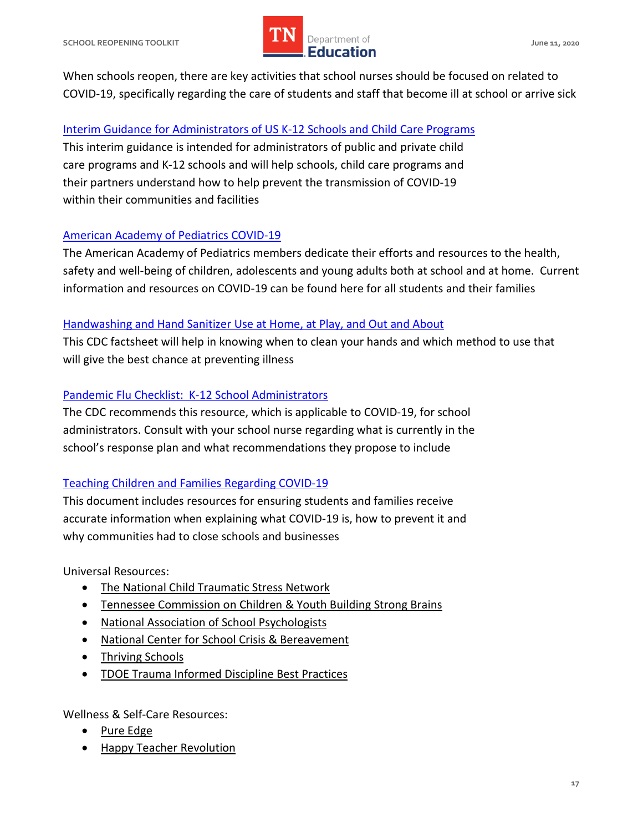

 When schools reopen, there are key activities that school nurses should be focused on related to COVID-19, specifically regarding the care of students and staff that become ill at school or arrive sick

#### [Interim Guidance for Administrators of US K-12 Schools and Child Care Programs](https://www.cdc.gov/coronavirus/2019-ncov/community/schools-childcare/guidance-for-schools.html)

 This interim guidance is intended for administrators of public and private child care programs and K-12 schools and will help schools, child care programs and their partners understand how to help prevent the transmission of COVID-19 within their communities and facilities

#### **American Academy of Pediatrics COVID-19**

 The American Academy of Pediatrics members dedicate their efforts and resources to the health, safety and well-being of children, adolescents and young adults both at school and at home. Current information and resources on COVID-19 can be found here for all students and their families

### Handwashing and Hand Sanitizer Use at Home, at Play, and Out and About

 This CDC factsheet will help in knowing when to clean your hands and which method to use that will give the best chance at preventing illness

## Pandemic Flu Checklist: K-12 School Administrators

 The CDC recommends this resource, which is applicable to COVID-19, for school administrators. Consult with your school nurse regarding what is currently in the school's response plan and what recommendations they propose to include

## [Teaching Children and Families Regarding COVID-19](https://higherlogicdownload.s3.amazonaws.com/NASN/3870c72d-fff9-4ed7-833f-215de278d256/UploadedImages/PDFs/03182020_NASN_Teaching_Children_and_Families_Regarding_COVID-19.pdf)

 This document includes resources for ensuring students and families receive accurate information when explaining what COVID-19 is, how to prevent it and why communities had to close schools and businesses

Universal Resources:

- [The National Child Traumatic Stress Network](https://www.nctsn.org/resources/addressing-race-and-trauma-classroom-resource-educators)
- [Tennessee Commission on Children & Youth Building Strong Brains](https://www.tn.gov/content/dam/tn/dcs/documents/health/aces/building-strong-brains-tn/Building%20a%20Trauma%20Informed%20System%20of%20Care%20Toolkit.pdf)
- [National Association of School Psychologists](https://www.nasponline.org/resources-and-publications/resources-and-podcasts/covid-19-resource-center/crisis-and-mental-health-resources)
- [National Center for School Crisis & Bereavement](https://www.schoolcrisiscenter.org/resources/teacher-training-modules/)
- Thriving Schools
- TDOE Trauma Informed Discipline Best Practices

Wellness & Self-Care Resources:

- Pure Edge
- [Happy Teacher Revolution](https://www.happyteacherrevolution.com/)